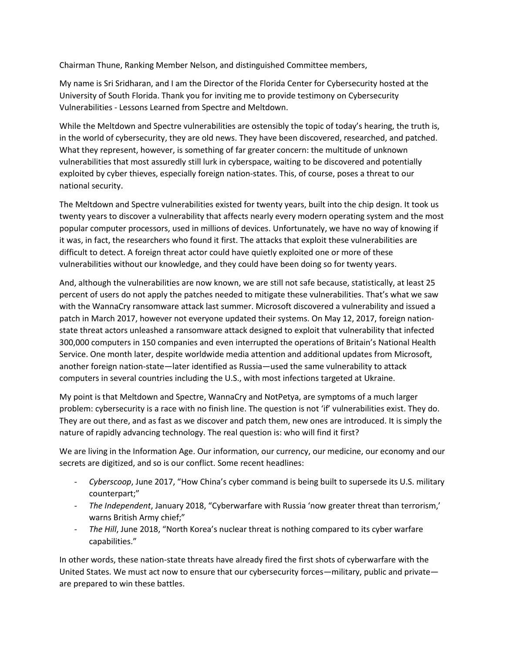Chairman Thune, Ranking Member Nelson, and distinguished Committee members,

My name is Sri Sridharan, and I am the Director of the Florida Center for Cybersecurity hosted at the University of South Florida. Thank you for inviting me to provide testimony on Cybersecurity Vulnerabilities - Lessons Learned from Spectre and Meltdown.

While the Meltdown and Spectre vulnerabilities are ostensibly the topic of today's hearing, the truth is, in the world of cybersecurity, they are old news. They have been discovered, researched, and patched. What they represent, however, is something of far greater concern: the multitude of unknown vulnerabilities that most assuredly still lurk in cyberspace, waiting to be discovered and potentially exploited by cyber thieves, especially foreign nation-states. This, of course, poses a threat to our national security.

The Meltdown and Spectre vulnerabilities existed for twenty years, built into the chip design. It took us twenty years to discover a vulnerability that affects nearly every modern operating system and the most popular computer processors, used in millions of devices. Unfortunately, we have no way of knowing if it was, in fact, the researchers who found it first. The attacks that exploit these vulnerabilities are difficult to detect. A foreign threat actor could have quietly exploited one or more of these vulnerabilities without our knowledge, and they could have been doing so for twenty years.

And, although the vulnerabilities are now known, we are still not safe because, statistically, at least 25 percent of users do not apply the patches needed to mitigate these vulnerabilities. That's what we saw with the WannaCry ransomware attack last summer. Microsoft discovered a vulnerability and issued a patch in March 2017, however not everyone updated their systems. On May 12, 2017, foreign nationstate threat actors unleashed a ransomware attack designed to exploit that vulnerability that infected 300,000 computers in 150 companies and even interrupted the operations of Britain's National Health Service. One month later, despite worldwide media attention and additional updates from Microsoft, another foreign nation-state—later identified as Russia—used the same vulnerability to attack computers in several countries including the U.S., with most infections targeted at Ukraine.

My point is that Meltdown and Spectre, WannaCry and NotPetya, are symptoms of a much larger problem: cybersecurity is a race with no finish line. The question is not 'if' vulnerabilities exist. They do. They are out there, and as fast as we discover and patch them, new ones are introduced. It is simply the nature of rapidly advancing technology. The real question is: who will find it first?

We are living in the Information Age. Our information, our currency, our medicine, our economy and our secrets are digitized, and so is our conflict. Some recent headlines:

- *- Cyberscoop*, June 2017, "How China's cyber command is being built to supersede its U.S. military counterpart;"
- *- The Independent*, January 2018, "Cyberwarfare with Russia 'now greater threat than terrorism,' warns British Army chief;"
- *- The Hill*, June 2018, "North Korea's nuclear threat is nothing compared to its cyber warfare capabilities."

In other words, these nation-state threats have already fired the first shots of cyberwarfare with the United States. We must act now to ensure that our cybersecurity forces—military, public and private are prepared to win these battles.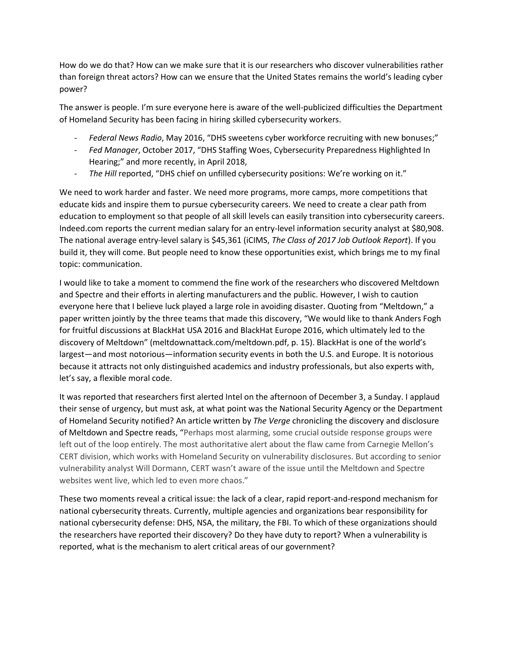How do we do that? How can we make sure that it is our researchers who discover vulnerabilities rather than foreign threat actors? How can we ensure that the United States remains the world's leading cyber power?

The answer is people. I'm sure everyone here is aware of the well-publicized difficulties the Department of Homeland Security has been facing in hiring skilled cybersecurity workers.

- *- Federal News Radio*, May 2016, "DHS sweetens cyber workforce recruiting with new bonuses;"
- *- Fed Manager*, October 2017, "DHS Staffing Woes, Cybersecurity Preparedness Highlighted In Hearing;" and more recently, in April 2018,
- *- The Hill* reported, "DHS chief on unfilled cybersecurity positions: We're working on it."

We need to work harder and faster. We need more programs, more camps, more competitions that educate kids and inspire them to pursue cybersecurity careers. We need to create a clear path from education to employment so that people of all skill levels can easily transition into cybersecurity careers. Indeed.com reports the current median salary for an entry-level information security analyst at \$80,908. The national average entry-level salary is \$45,361 (iCIMS, *The Class of 2017 Job Outlook Report*). If you build it, they will come. But people need to know these opportunities exist, which brings me to my final topic: communication.

I would like to take a moment to commend the fine work of the researchers who discovered Meltdown and Spectre and their efforts in alerting manufacturers and the public. However, I wish to caution everyone here that I believe luck played a large role in avoiding disaster. Quoting from "Meltdown," a paper written jointly by the three teams that made this discovery, "We would like to thank Anders Fogh for fruitful discussions at BlackHat USA 2016 and BlackHat Europe 2016, which ultimately led to the discovery of Meltdown" (meltdownattack.com/meltdown.pdf, p. 15). BlackHat is one of the world's largest—and most notorious—information security events in both the U.S. and Europe. It is notorious because it attracts not only distinguished academics and industry professionals, but also experts with, let's say, a flexible moral code.

It was reported that researchers first alerted Intel on the afternoon of December 3, a Sunday. I applaud their sense of urgency, but must ask, at what point was the National Security Agency or the Department of Homeland Security notified? An article written by *The Verge* chronicling the discovery and disclosure of Meltdown and Spectre reads, "Perhaps most alarming, some crucial outside response groups were left out of the loop entirely. The most authoritative alert about the flaw came from Carnegie Mellon's CERT division, which works with Homeland Security on vulnerability disclosures. But according to senior vulnerability analyst Will Dormann, CERT wasn't aware of the issue until the Meltdown and Spectre websites went live, which led to even more chaos."

These two moments reveal a critical issue: the lack of a clear, rapid report-and-respond mechanism for national cybersecurity threats. Currently, multiple agencies and organizations bear responsibility for national cybersecurity defense: DHS, NSA, the military, the FBI. To which of these organizations should the researchers have reported their discovery? Do they have duty to report? When a vulnerability is reported, what is the mechanism to alert critical areas of our government?